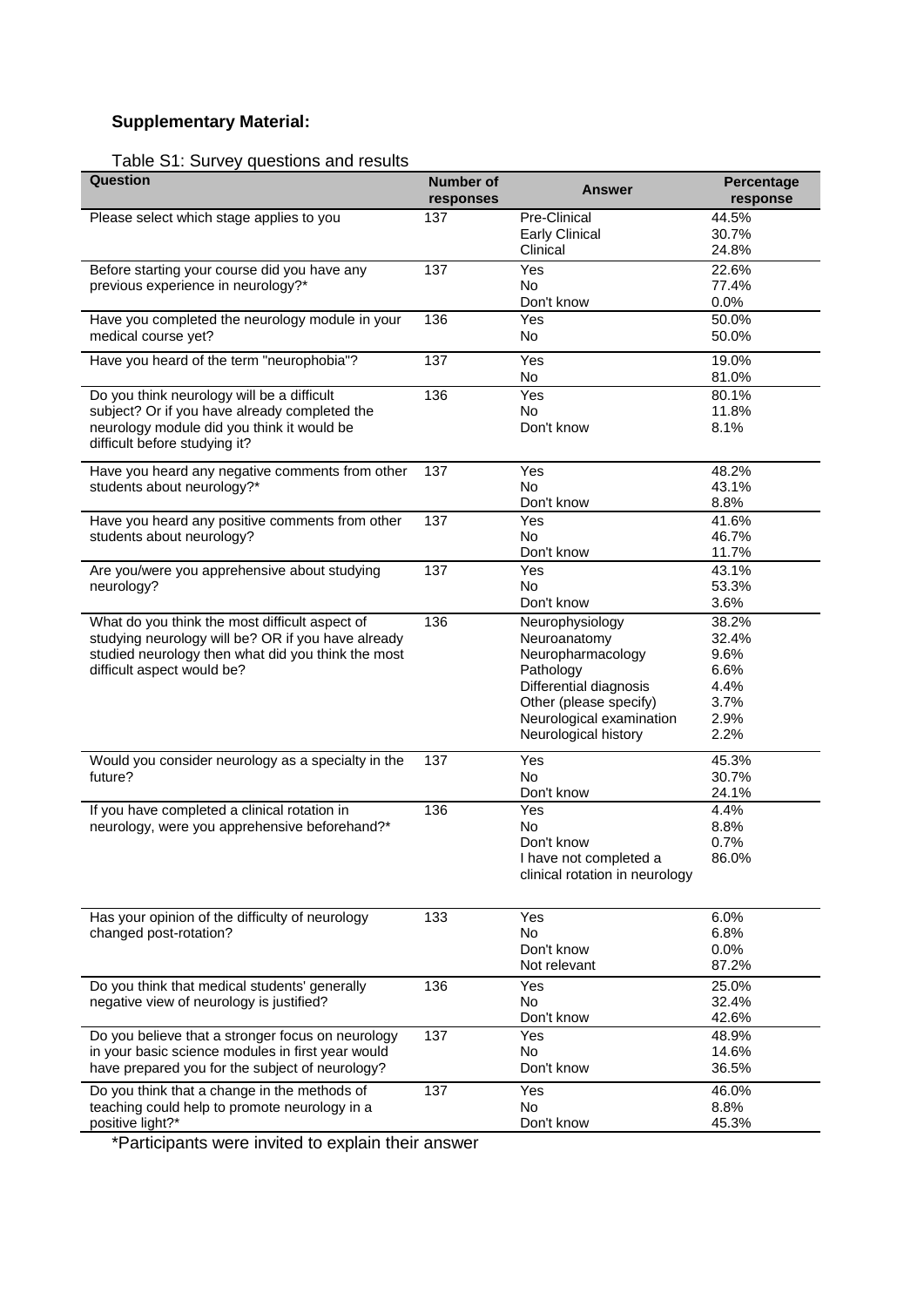## **Supplementary Material:**

## Table S1: Survey questions and results

| Question                                                                                                                                                                                 | <b>Number of</b><br>responses | <b>Answer</b>                                                                                                                                                             | Percentage<br>response                                         |
|------------------------------------------------------------------------------------------------------------------------------------------------------------------------------------------|-------------------------------|---------------------------------------------------------------------------------------------------------------------------------------------------------------------------|----------------------------------------------------------------|
| Please select which stage applies to you                                                                                                                                                 | 137                           | Pre-Clinical<br><b>Early Clinical</b><br>Clinical                                                                                                                         | 44.5%<br>30.7%<br>24.8%                                        |
| Before starting your course did you have any<br>previous experience in neurology?*                                                                                                       | 137                           | Yes<br><b>No</b><br>Don't know                                                                                                                                            | 22.6%<br>77.4%<br>0.0%                                         |
| Have you completed the neurology module in your<br>medical course yet?                                                                                                                   | 136                           | Yes<br>No                                                                                                                                                                 | 50.0%<br>50.0%                                                 |
| Have you heard of the term "neurophobia"?                                                                                                                                                | 137                           | Yes<br>No                                                                                                                                                                 | 19.0%<br>81.0%                                                 |
| Do you think neurology will be a difficult<br>subject? Or if you have already completed the<br>neurology module did you think it would be<br>difficult before studying it?               | 136                           | Yes<br><b>No</b><br>Don't know                                                                                                                                            | 80.1%<br>11.8%<br>8.1%                                         |
| Have you heard any negative comments from other<br>students about neurology?*                                                                                                            | 137                           | Yes<br><b>No</b><br>Don't know                                                                                                                                            | 48.2%<br>43.1%<br>8.8%                                         |
| Have you heard any positive comments from other<br>students about neurology?                                                                                                             | 137                           | Yes<br>No.<br>Don't know                                                                                                                                                  | 41.6%<br>46.7%<br>11.7%                                        |
| Are you/were you apprehensive about studying<br>neurology?                                                                                                                               | 137                           | Yes<br><b>No</b><br>Don't know                                                                                                                                            | 43.1%<br>53.3%<br>3.6%                                         |
| What do you think the most difficult aspect of<br>studying neurology will be? OR if you have already<br>studied neurology then what did you think the most<br>difficult aspect would be? | 136                           | Neurophysiology<br>Neuroanatomy<br>Neuropharmacology<br>Pathology<br>Differential diagnosis<br>Other (please specify)<br>Neurological examination<br>Neurological history | 38.2%<br>32.4%<br>9.6%<br>6.6%<br>4.4%<br>3.7%<br>2.9%<br>2.2% |
| Would you consider neurology as a specialty in the<br>future?                                                                                                                            | 137                           | Yes<br><b>No</b><br>Don't know                                                                                                                                            | 45.3%<br>30.7%<br>24.1%                                        |
| If you have completed a clinical rotation in<br>neurology, were you apprehensive beforehand?*                                                                                            | 136                           | Yes<br><b>No</b><br>Don't know<br>I have not completed a<br>clinical rotation in neurology                                                                                | 4.4%<br>8.8%<br>0.7%<br>86.0%                                  |
| Has your opinion of the difficulty of neurology<br>changed post-rotation?                                                                                                                | 133                           | Yes<br>No.<br>Don't know<br>Not relevant                                                                                                                                  | 6.0%<br>6.8%<br>0.0%<br>87.2%                                  |
| Do you think that medical students' generally<br>negative view of neurology is justified?                                                                                                | 136                           | Yes<br>No<br>Don't know                                                                                                                                                   | 25.0%<br>32.4%<br>42.6%                                        |
| Do you believe that a stronger focus on neurology<br>in your basic science modules in first year would<br>have prepared you for the subject of neurology?                                | 137                           | Yes<br><b>No</b><br>Don't know                                                                                                                                            | 48.9%<br>14.6%<br>36.5%                                        |
| Do you think that a change in the methods of<br>teaching could help to promote neurology in a<br>positive light?*                                                                        | 137                           | Yes<br><b>No</b><br>Don't know                                                                                                                                            | 46.0%<br>8.8%<br>45.3%                                         |

\*Participants were invited to explain their answer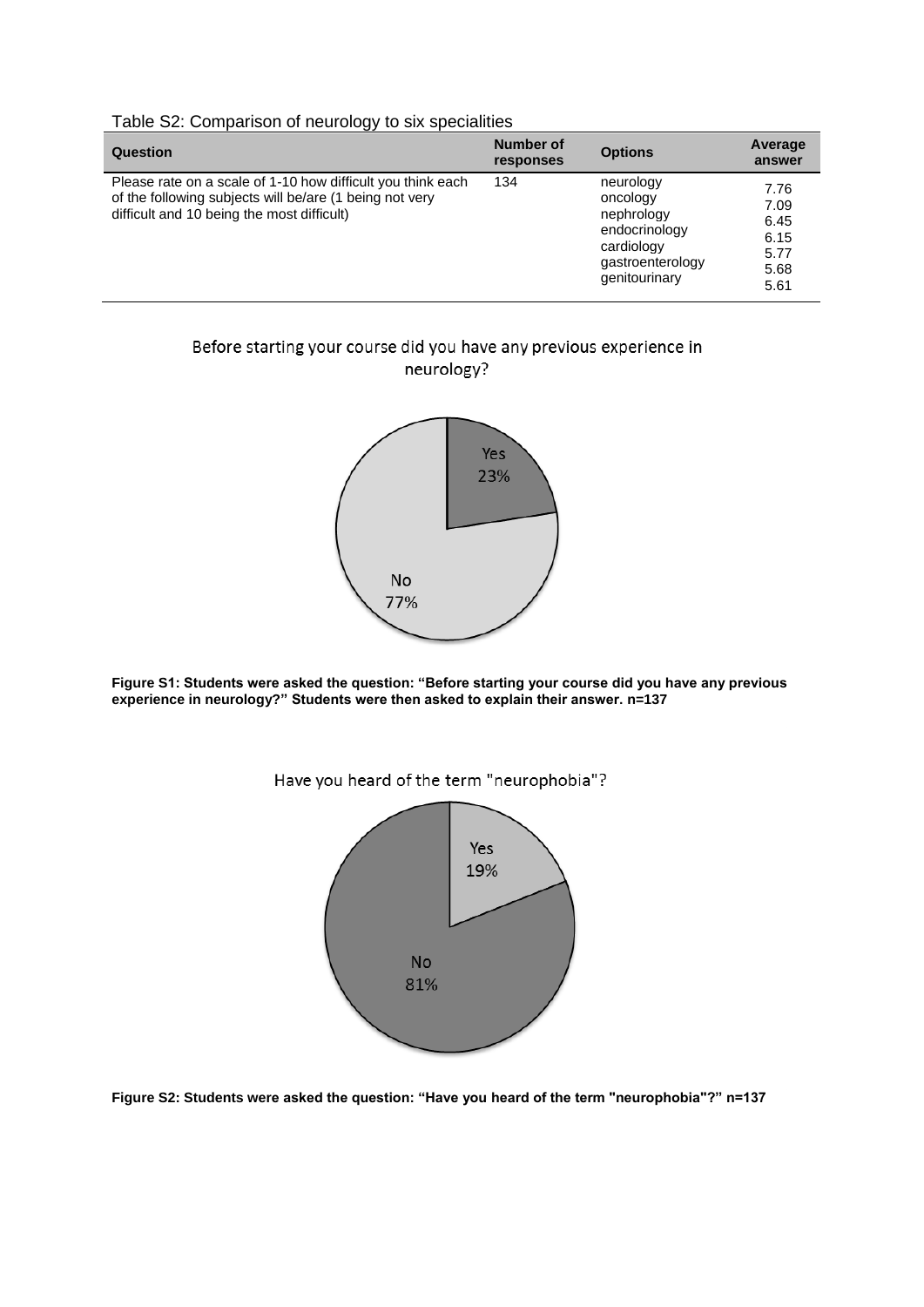| --                                                                                                                                                                   | <b>Number of</b> | <b>Options</b>                                                                                          | Average                                              |
|----------------------------------------------------------------------------------------------------------------------------------------------------------------------|------------------|---------------------------------------------------------------------------------------------------------|------------------------------------------------------|
| Question                                                                                                                                                             | responses        |                                                                                                         | answer                                               |
| Please rate on a scale of 1-10 how difficult you think each<br>of the following subjects will be/are (1 being not very<br>difficult and 10 being the most difficult) | 134              | neurology<br>oncology<br>nephrology<br>endocrinology<br>cardiology<br>gastroenterology<br>genitourinary | 7.76<br>7.09<br>6.45<br>6.15<br>5.77<br>5.68<br>5.61 |

## Table S2: Comparison of neurology to six specialities

## Before starting your course did you have any previous experience in neurology?



**Figure S1: Students were asked the question: "Before starting your course did you have any previous experience in neurology?" Students were then asked to explain their answer. n=137**



**Figure S2: Students were asked the question: "Have you heard of the term "neurophobia"?" n=137**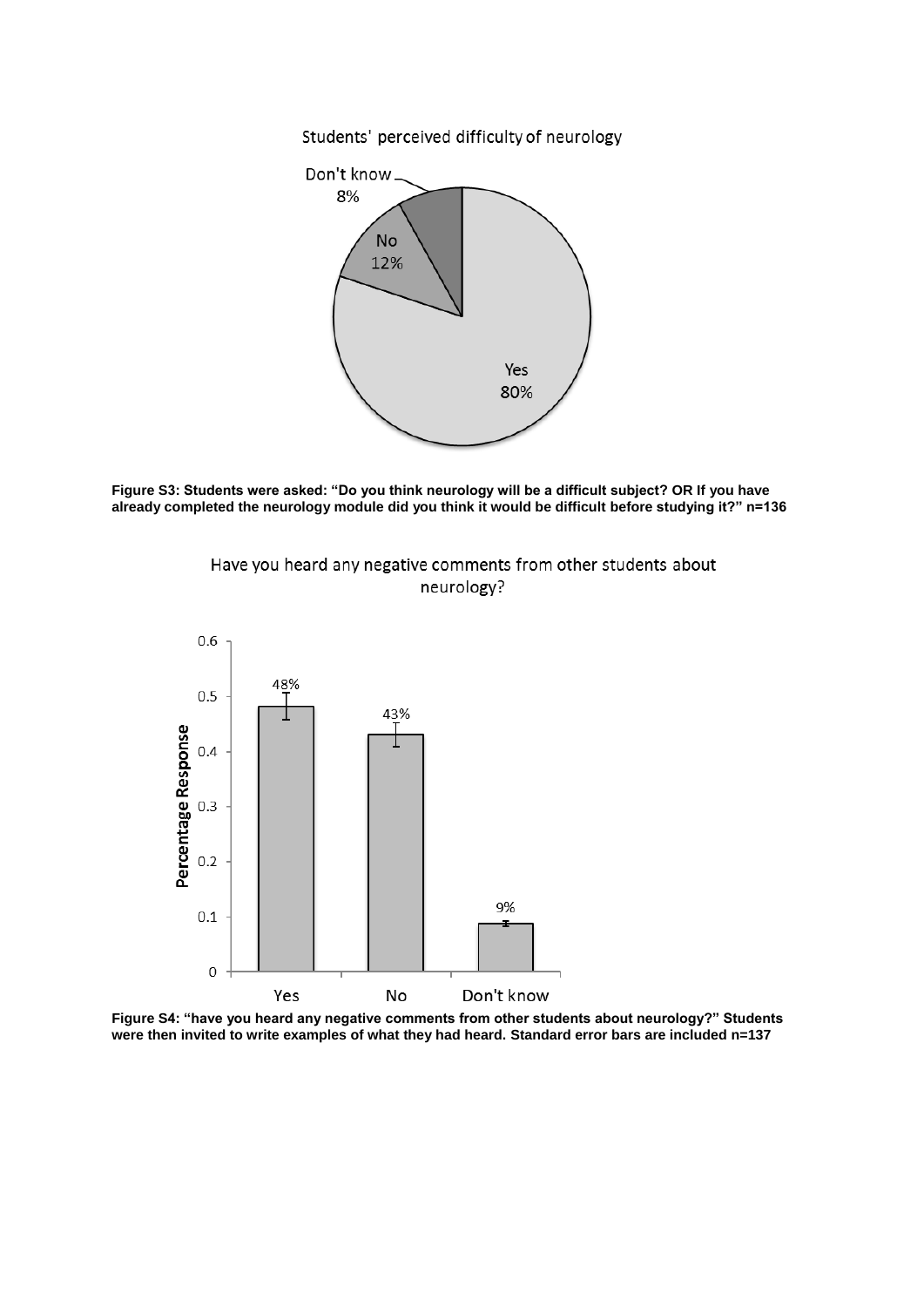Students' perceived difficulty of neurology



**Figure S3: Students were asked: "Do you think neurology will be a difficult subject? OR If you have already completed the neurology module did you think it would be difficult before studying it?" n=136**

Have you heard any negative comments from other students about neurology?



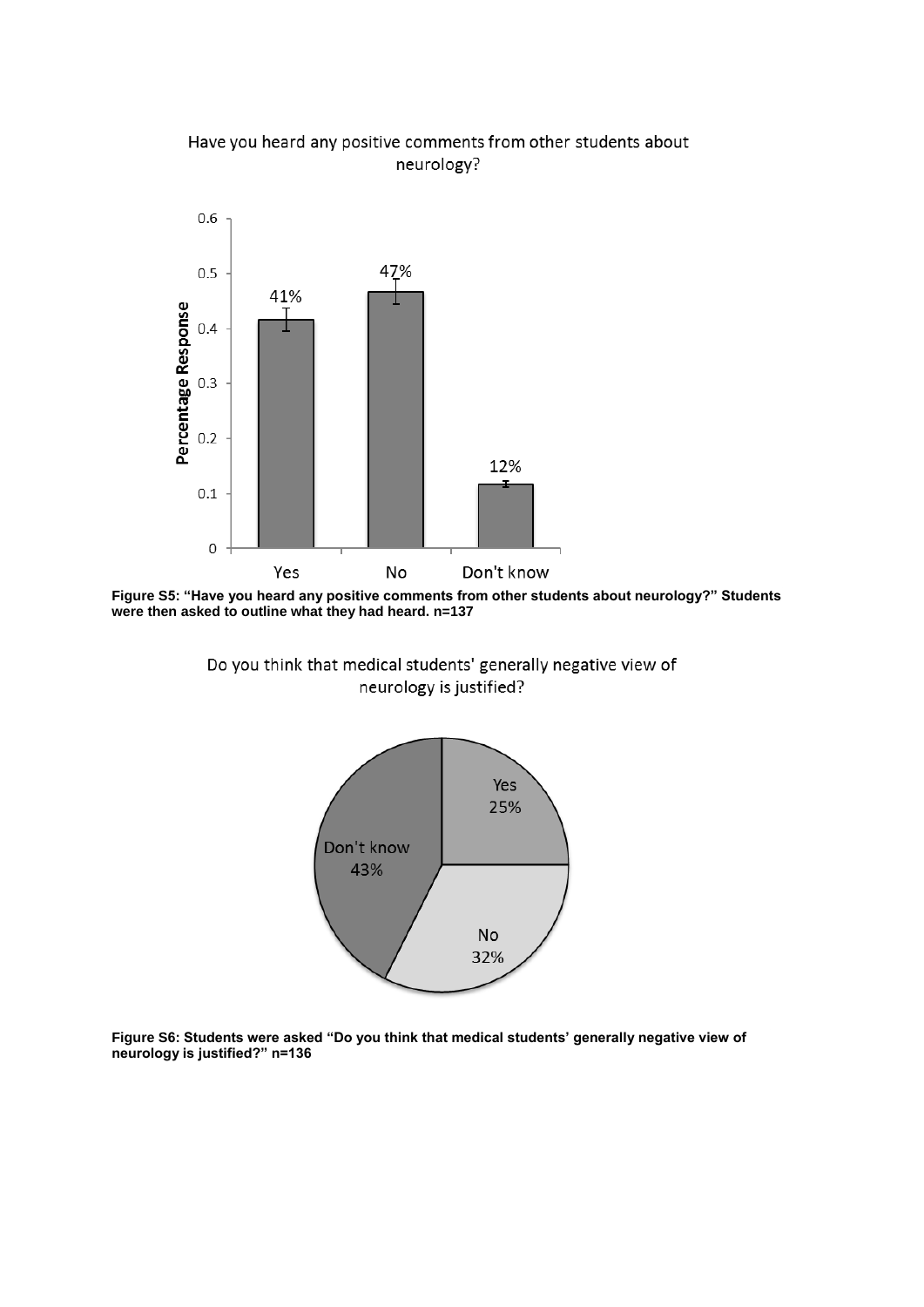



**Figure S5: "Have you heard any positive comments from other students about neurology?" Students were then asked to outline what they had heard. n=137**

Do you think that medical students' generally negative view of neurology is justified?



**Figure S6: Students were asked "Do you think that medical students' generally negative view of neurology is justified?" n=136**